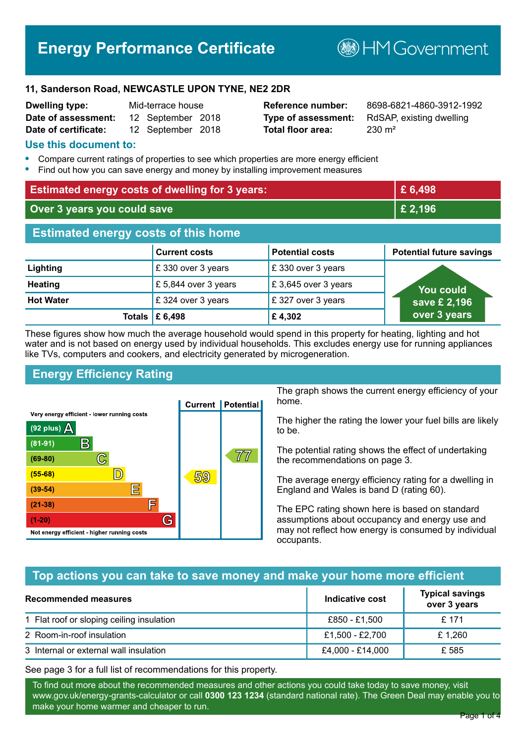# **Energy Performance Certificate**

**B**HM Government

#### **11, Sanderson Road, NEWCASTLE UPON TYNE, NE2 2DR**

| <b>Dwelling type:</b> | Mid-terrace house |                   |  |
|-----------------------|-------------------|-------------------|--|
| Date of assessment:   |                   | 12 September 2018 |  |
| Date of certificate:  |                   | 12 September 2018 |  |

# **Total floor area:** 230 m<sup>2</sup>

**Reference number:** 8698-6821-4860-3912-1992 **Type of assessment:** RdSAP, existing dwelling

#### **Use this document to:**

- **•** Compare current ratings of properties to see which properties are more energy efficient
- **•** Find out how you can save energy and money by installing improvement measures

| <b>Estimated energy costs of dwelling for 3 years:</b> |                      | £ 6,498                |                                 |
|--------------------------------------------------------|----------------------|------------------------|---------------------------------|
| Over 3 years you could save                            |                      | £ 2,196                |                                 |
| <b>Estimated energy costs of this home</b>             |                      |                        |                                 |
|                                                        | <b>Current costs</b> | <b>Potential costs</b> | <b>Potential future savings</b> |
| Lighting                                               | £330 over 3 years    | £330 over 3 years      |                                 |
| <b>Heating</b>                                         | £5,844 over 3 years  | £3,645 over 3 years    | <b>You could</b>                |
| <b>Hot Water</b>                                       | £324 over 3 years    | £327 over 3 years      | save £ 2,196                    |
| Totals                                                 | £ 6,498              | £4,302                 | over 3 years                    |

These figures show how much the average household would spend in this property for heating, lighting and hot water and is not based on energy used by individual households. This excludes energy use for running appliances like TVs, computers and cookers, and electricity generated by microgeneration.

# **Energy Efficiency Rating**



The graph shows the current energy efficiency of your home.

The higher the rating the lower your fuel bills are likely to be.

The potential rating shows the effect of undertaking the recommendations on page 3.

The average energy efficiency rating for a dwelling in England and Wales is band D (rating 60).

The EPC rating shown here is based on standard assumptions about occupancy and energy use and may not reflect how energy is consumed by individual occupants.

# **Top actions you can take to save money and make your home more efficient**

| Recommended measures                      | Indicative cost  | <b>Typical savings</b><br>over 3 years |
|-------------------------------------------|------------------|----------------------------------------|
| 1 Flat roof or sloping ceiling insulation | £850 - £1,500    | £ 171                                  |
| 2 Room-in-roof insulation                 | £1,500 - £2,700  | £1.260                                 |
| 3 Internal or external wall insulation    | £4,000 - £14,000 | £585                                   |

See page 3 for a full list of recommendations for this property.

To find out more about the recommended measures and other actions you could take today to save money, visit www.gov.uk/energy-grants-calculator or call **0300 123 1234** (standard national rate). The Green Deal may enable you to make your home warmer and cheaper to run.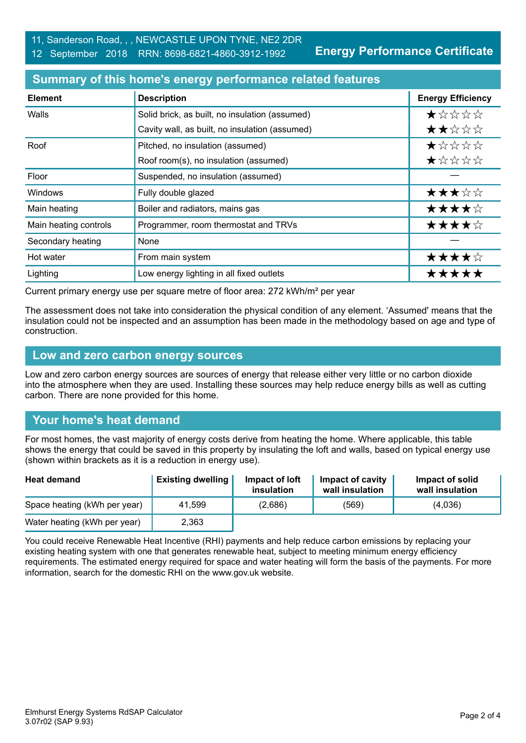**Energy Performance Certificate**

## **Summary of this home's energy performance related features**

| <b>Element</b>        | <b>Description</b>                             | <b>Energy Efficiency</b> |
|-----------------------|------------------------------------------------|--------------------------|
| Walls                 | Solid brick, as built, no insulation (assumed) | *****                    |
|                       | Cavity wall, as built, no insulation (assumed) | ★★☆☆☆                    |
| Roof                  | Pitched, no insulation (assumed)               | $\star$ * * * *          |
|                       | Roof room(s), no insulation (assumed)          | ★☆☆☆☆                    |
| Floor                 | Suspended, no insulation (assumed)             |                          |
| <b>Windows</b>        | Fully double glazed                            | ★★★☆☆                    |
| Main heating          | Boiler and radiators, mains gas                | ★★★★☆                    |
| Main heating controls | Programmer, room thermostat and TRVs           | ★★★★☆                    |
| Secondary heating     | <b>None</b>                                    |                          |
| Hot water             | From main system                               | ★★★★☆                    |
| Lighting              | Low energy lighting in all fixed outlets       | *****                    |

Current primary energy use per square metre of floor area: 272 kWh/m² per year

The assessment does not take into consideration the physical condition of any element. 'Assumed' means that the insulation could not be inspected and an assumption has been made in the methodology based on age and type of construction.

#### **Low and zero carbon energy sources**

Low and zero carbon energy sources are sources of energy that release either very little or no carbon dioxide into the atmosphere when they are used. Installing these sources may help reduce energy bills as well as cutting carbon. There are none provided for this home.

# **Your home's heat demand**

For most homes, the vast majority of energy costs derive from heating the home. Where applicable, this table shows the energy that could be saved in this property by insulating the loft and walls, based on typical energy use (shown within brackets as it is a reduction in energy use).

| <b>Heat demand</b>           | <b>Existing dwelling</b> | Impact of loft<br>insulation | Impact of cavity<br>wall insulation | Impact of solid<br>wall insulation |
|------------------------------|--------------------------|------------------------------|-------------------------------------|------------------------------------|
| Space heating (kWh per year) | 41.599                   | (2,686)                      | (569)                               | (4,036)                            |
| Water heating (kWh per year) | 2,363                    |                              |                                     |                                    |

You could receive Renewable Heat Incentive (RHI) payments and help reduce carbon emissions by replacing your existing heating system with one that generates renewable heat, subject to meeting minimum energy efficiency requirements. The estimated energy required for space and water heating will form the basis of the payments. For more information, search for the domestic RHI on the www.gov.uk website.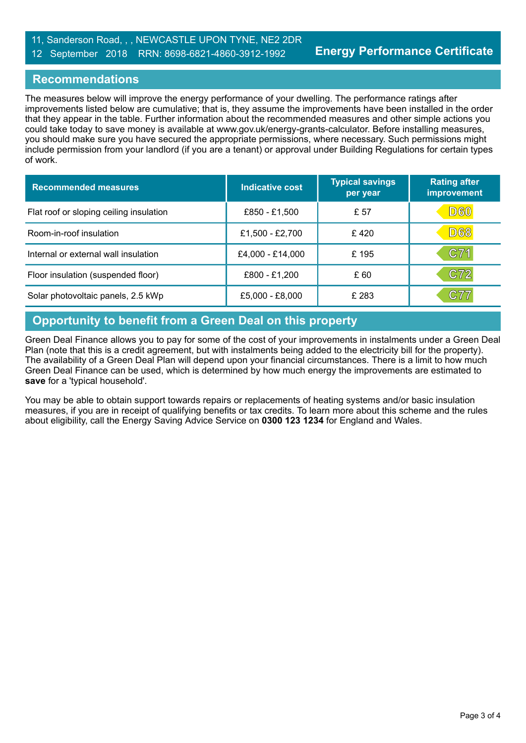# **Recommendations**

The measures below will improve the energy performance of your dwelling. The performance ratings after improvements listed below are cumulative; that is, they assume the improvements have been installed in the order that they appear in the table. Further information about the recommended measures and other simple actions you could take today to save money is available at www.gov.uk/energy-grants-calculator. Before installing measures, you should make sure you have secured the appropriate permissions, where necessary. Such permissions might include permission from your landlord (if you are a tenant) or approval under Building Regulations for certain types of work.

| <b>Recommended measures</b>             | Indicative cost  | <b>Typical savings</b><br>per year | <b>Rating after</b><br>improvement |
|-----------------------------------------|------------------|------------------------------------|------------------------------------|
| Flat roof or sloping ceiling insulation | £850 - £1,500    | £ 57                               | D60                                |
| Room-in-roof insulation                 | £1,500 - £2,700  | £420                               | <b>D68</b>                         |
| Internal or external wall insulation    | £4,000 - £14,000 | £195                               | C71                                |
| Floor insulation (suspended floor)      | £800 - £1,200    | £ 60                               | C72                                |
| Solar photovoltaic panels, 2.5 kWp      | £5,000 - £8,000  | £ 283                              | C77                                |

# **Opportunity to benefit from a Green Deal on this property**

Green Deal Finance allows you to pay for some of the cost of your improvements in instalments under a Green Deal Plan (note that this is a credit agreement, but with instalments being added to the electricity bill for the property). The availability of a Green Deal Plan will depend upon your financial circumstances. There is a limit to how much Green Deal Finance can be used, which is determined by how much energy the improvements are estimated to **save** for a 'typical household'.

You may be able to obtain support towards repairs or replacements of heating systems and/or basic insulation measures, if you are in receipt of qualifying benefits or tax credits. To learn more about this scheme and the rules about eligibility, call the Energy Saving Advice Service on **0300 123 1234** for England and Wales.